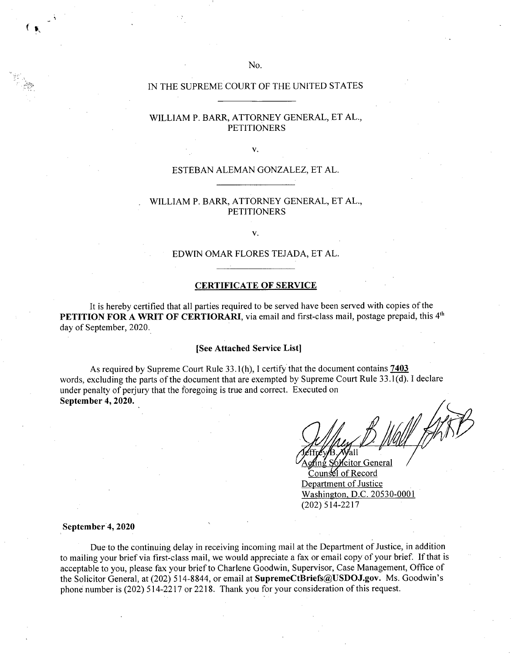## IN THE SUPREME COURT OF THE UNITED STATES

# WILLIAM P. BARR, ATTORNEY GENERAL, ET AL., **PETITIONERS**

v.

#### ESTEBAN ALEMAN GONZALEZ, ET AL.

# WILLIAM P. BARR, ATTORNEY GENERAL, ET AL., **PETITIONERS**

v.

# EDWIN OMAR FLORES TEJADA, ET AL.

#### **CERTIFICATE OF SERVICE**

It is hereby certified that all parties required to be served have been served with copies ofthe **PETITION FOR A WRIT OF CERTIORARI,** via email and first-class mail, postage prepaid, this 4th day of September, 2020.

#### **[See Attached Service List]**

As required by Supreme Court Rule 33.1(h), <sup>I</sup> certify that the document contains **7403** words, excluding the parts of the document that are exempted by Supreme Court Rule 33.1(d). I declare under penalty of perjury that the foregoing is true and correct. Executed on **September 4,2020.**

**Sol** citor General Counsel of Record Department of Justice Washington. D.C. 20530-0001 (202)514-2217

#### **September 4, 2020**

*<* **\***

Due to the continuing delay in receiving incoming mail at the Department of Justice, in addition to mailing your brief via first-class mail, we would appreciate a fax or email copy of your brief. If that is acceptable to you, please fax your brief to Charlene Goodwin, Supervisor, Case Management, Office of the Solicitor General, at (202) 514-8844, or email at **[SupremeCtBriefs@USDOJ.gov](mailto:SupremeCtBriefs@USDOJ.gov).** Ms. Goodwin's phone number is (202) 514-2217 or 2218. Thank you for your consideration of this request.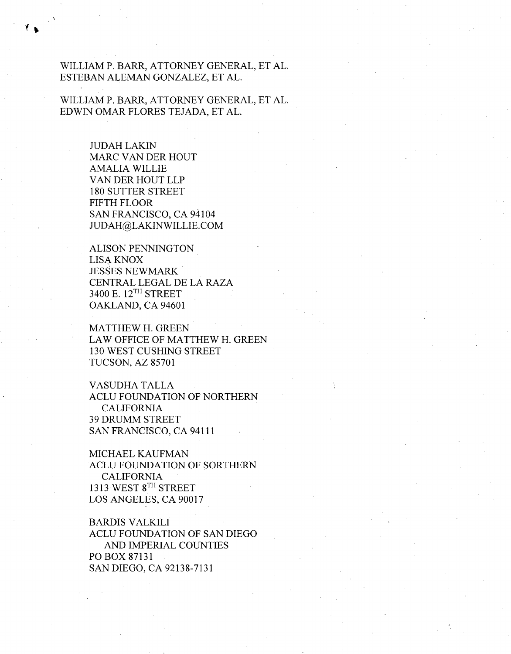WILLIAM P. BARR, ATTORNEY GENERAL, ET AL. ESTEBAN ALEMAN GONZALEZ, ET AL.

**f \***

WILLIAM P. BARR, ATTORNEY GENERAL, ET AL. EDWIN OMAR FLORES TEJADA, ET AL.

> JUDAH LAKIN MARC VAN DER HOUT AMALIA WILLIE VAN DER HOUT LLP 180 SUTTER STREET FIFTH FLOOR SAN FRANCISCO, CA 94104 [JUDAH@LAKINWILLIE.COM](mailto:JUDAH@LAKINWILLIE.COM)

ALISON PENNINGTON LIS4 KNOX JESSES NEWMARK CENTRAL LEGAL DE LA RAZA 3400 E. 12<sup>TH</sup> STREET OAKLAND, CA 94601

MATTHEW H. GREEN LAW OFFICE OF MATTHEW H. GREEN 130 WEST CUSHING STREET TUCSON, AZ 85701

VASUDHA TALLA ACLU FOUNDATION OF NORTHERN CALIFORNIA 39 DRUMM STREET SAN FRANCISCO, CA 94111

MICHAEL KAUFMAN ACLU FOUNDATION OF SORTHERN CALIFORNIA 1313 WEST 8<sup>TH</sup> STREET LOS ANGELES, CA 90017

BARDIS VALKILI ACLU FOUNDATION OF SAN DIEGO AND IMPERIAL COUNTIES PO BOX 87131 SAN DIEGO, CA 92138-7131